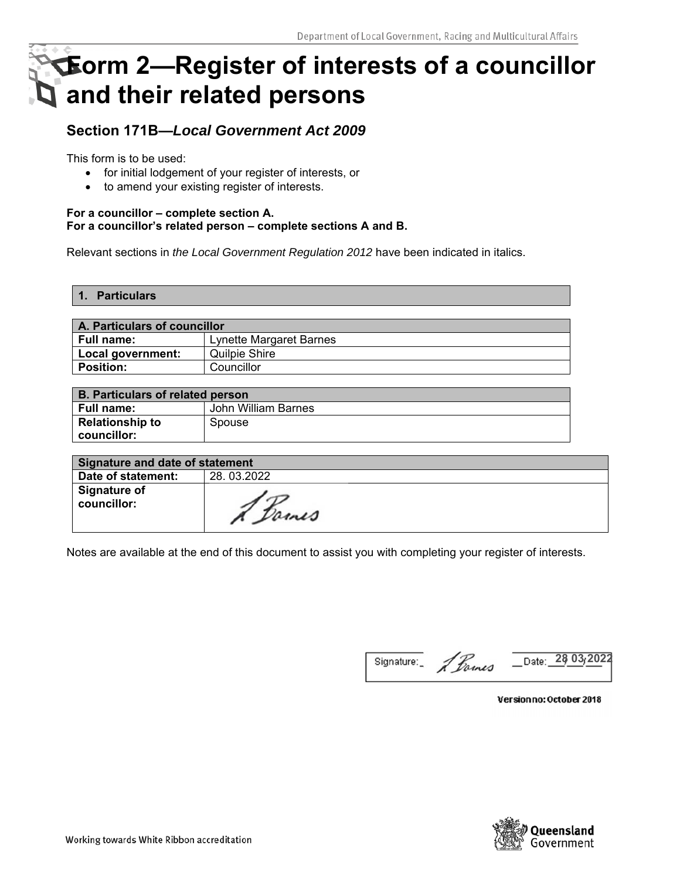# **Form 2—Register of interests of a councillor and their related persons**

# **Section 171B—***Local Government Act 2009*

This form is to be used:

- for initial lodgement of your register of interests, or
- to amend your existing register of interests.

#### **For a councillor – complete section A. For a councillor's related person – complete sections A and B.**

Relevant sections in *the Local Government Regulation 2012* have been indicated in italics.

**1. Particulars** 

| A. Particulars of councillor |                                |  |  |
|------------------------------|--------------------------------|--|--|
| Full name:                   | <b>Lynette Margaret Barnes</b> |  |  |
| Local government:            | Quilpie Shire                  |  |  |
| <b>Position:</b>             | Councillor                     |  |  |

| <b>B. Particulars of related person</b> |                     |  |  |
|-----------------------------------------|---------------------|--|--|
| <b>Full name:</b>                       | John William Barnes |  |  |
| <b>Relationship to</b>                  | Spouse              |  |  |
| councillor:                             |                     |  |  |

| Signature and date of statement |            |  |  |
|---------------------------------|------------|--|--|
| Date of statement:              | 28.03.2022 |  |  |
| Signature of<br>councillor:     | & Dames    |  |  |

Notes are available at the end of this document to assist you with completing your register of interests.

Signature: 1 Parmes Date: 28 03<sub>/</sub>2022

Versionno: October 2018

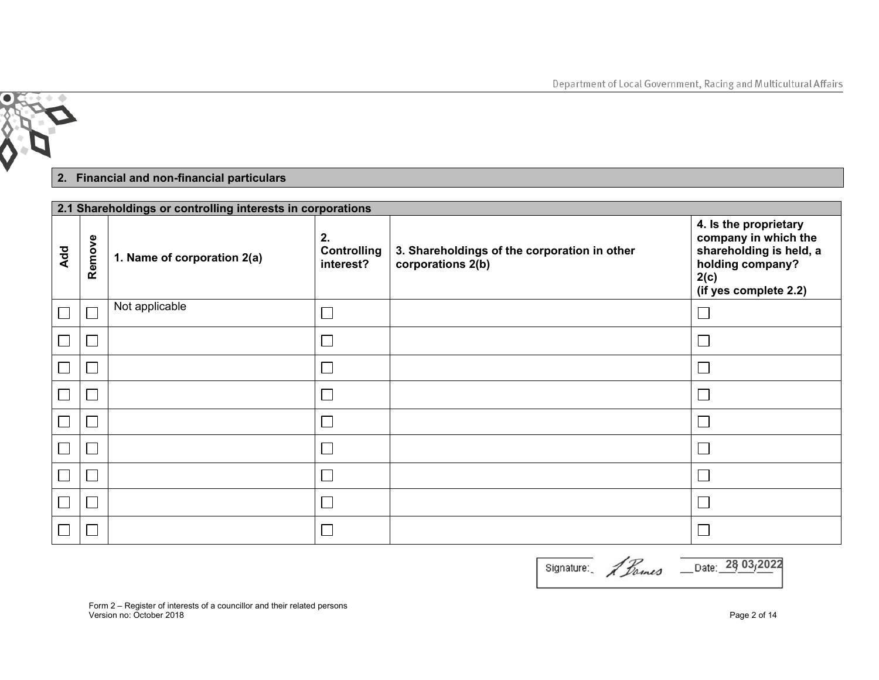

## **2. Financial and non-financial particulars**

|                          | 2.1 Shareholdings or controlling interests in corporations |                             |                                       |                                                                   |                                                                                                                               |  |
|--------------------------|------------------------------------------------------------|-----------------------------|---------------------------------------|-------------------------------------------------------------------|-------------------------------------------------------------------------------------------------------------------------------|--|
| Add                      | Remove                                                     | 1. Name of corporation 2(a) | 2.<br><b>Controlling</b><br>interest? | 3. Shareholdings of the corporation in other<br>corporations 2(b) | 4. Is the proprietary<br>company in which the<br>shareholding is held, a<br>holding company?<br>2(c)<br>(if yes complete 2.2) |  |
| $\boxed{\phantom{1}}$    |                                                            | Not applicable              |                                       |                                                                   |                                                                                                                               |  |
| $\boxed{\phantom{1}}$    |                                                            |                             |                                       |                                                                   |                                                                                                                               |  |
| $\Box$                   |                                                            |                             |                                       |                                                                   |                                                                                                                               |  |
| $\Box$                   |                                                            |                             |                                       |                                                                   |                                                                                                                               |  |
| $\overline{\phantom{a}}$ |                                                            |                             |                                       |                                                                   |                                                                                                                               |  |
| $\overline{\phantom{a}}$ |                                                            |                             |                                       |                                                                   |                                                                                                                               |  |
| $\Box$                   |                                                            |                             |                                       |                                                                   |                                                                                                                               |  |
| $\boxed{\phantom{1}}$    |                                                            |                             |                                       |                                                                   |                                                                                                                               |  |
| $\Box$                   |                                                            |                             |                                       |                                                                   |                                                                                                                               |  |

| Signature: | 2 homes | Date: 28 03/2022 |
|------------|---------|------------------|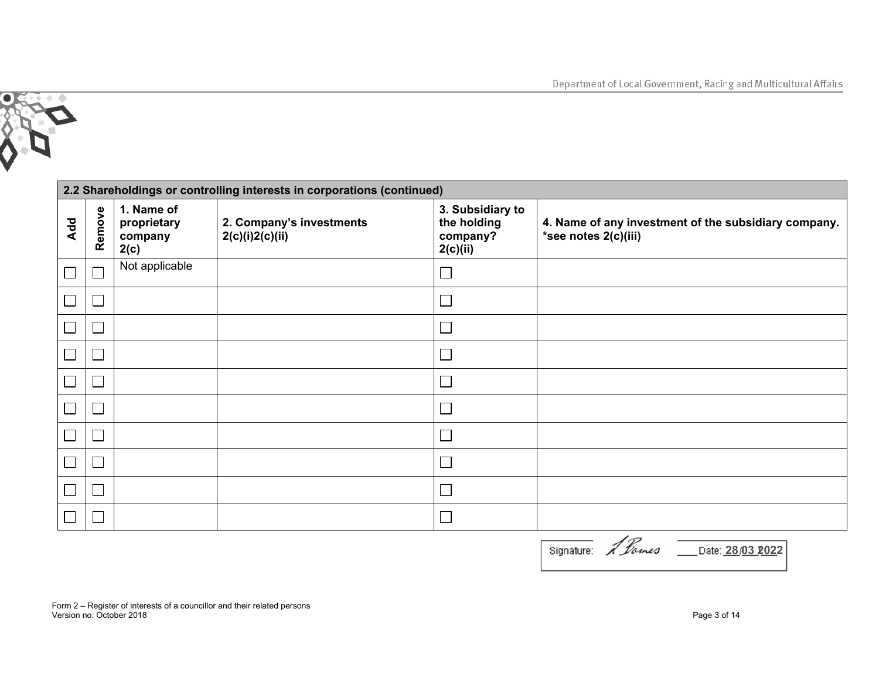

|     | 2.2 Shareholdings or controlling interests in corporations (continued) |                                              |                                             |                                                         |                                                                              |  |  |
|-----|------------------------------------------------------------------------|----------------------------------------------|---------------------------------------------|---------------------------------------------------------|------------------------------------------------------------------------------|--|--|
| Add | Remove                                                                 | 1. Name of<br>proprietary<br>company<br>2(c) | 2. Company's investments<br>2(c)(i)2(c)(ii) | 3. Subsidiary to<br>the holding<br>company?<br>2(c)(ii) | 4. Name of any investment of the subsidiary company.<br>*see notes 2(c)(iii) |  |  |
|     |                                                                        | Not applicable                               |                                             |                                                         |                                                                              |  |  |
|     |                                                                        |                                              |                                             |                                                         |                                                                              |  |  |
|     |                                                                        |                                              |                                             |                                                         |                                                                              |  |  |
|     |                                                                        |                                              |                                             |                                                         |                                                                              |  |  |
|     |                                                                        |                                              |                                             |                                                         |                                                                              |  |  |
|     |                                                                        |                                              |                                             |                                                         |                                                                              |  |  |
|     |                                                                        |                                              |                                             |                                                         |                                                                              |  |  |
|     |                                                                        |                                              |                                             |                                                         |                                                                              |  |  |
|     |                                                                        |                                              |                                             |                                                         |                                                                              |  |  |
|     |                                                                        |                                              |                                             |                                                         |                                                                              |  |  |

| Signature: A Dames | Date: 28/03 2022 |
|--------------------|------------------|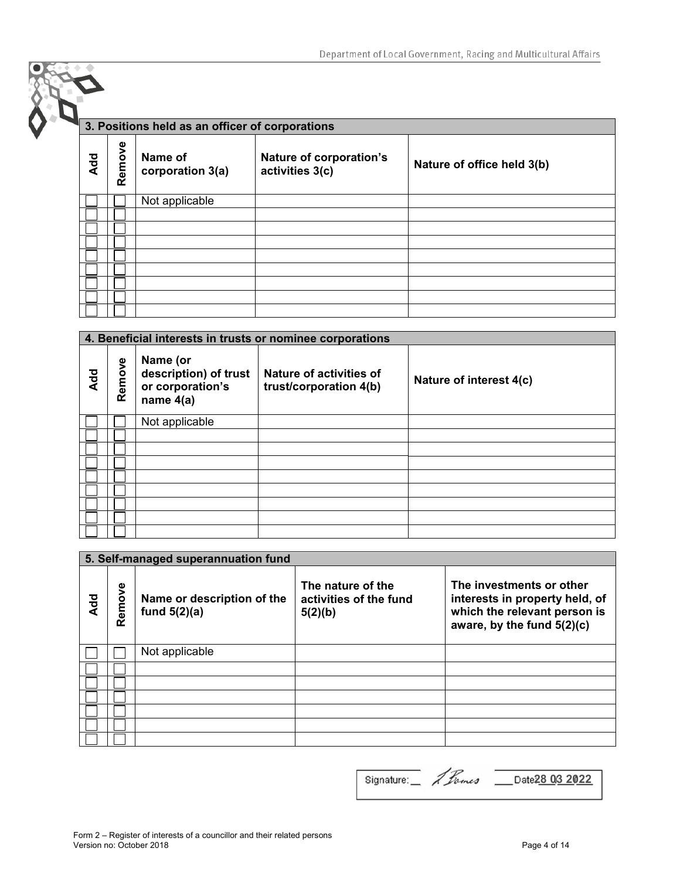|     | 3. Positions held as an officer of corporations |                             |                                            |                            |  |  |
|-----|-------------------------------------------------|-----------------------------|--------------------------------------------|----------------------------|--|--|
| Add | Remove                                          | Name of<br>corporation 3(a) | Nature of corporation's<br>activities 3(c) | Nature of office held 3(b) |  |  |
|     |                                                 | Not applicable              |                                            |                            |  |  |
|     |                                                 |                             |                                            |                            |  |  |
|     |                                                 |                             |                                            |                            |  |  |
|     |                                                 |                             |                                            |                            |  |  |
|     |                                                 |                             |                                            |                            |  |  |
|     |                                                 |                             |                                            |                            |  |  |
|     |                                                 |                             |                                            |                            |  |  |
|     |                                                 |                             |                                            |                            |  |  |
|     |                                                 |                             |                                            |                            |  |  |

|            | 4. Beneficial interests in trusts or nominee corporations |                                                                      |                                                   |                         |  |
|------------|-----------------------------------------------------------|----------------------------------------------------------------------|---------------------------------------------------|-------------------------|--|
| <b>Add</b> | Remove                                                    | Name (or<br>description) of trust<br>or corporation's<br>name $4(a)$ | Nature of activities of<br>trust/corporation 4(b) | Nature of interest 4(c) |  |
|            |                                                           | Not applicable                                                       |                                                   |                         |  |
|            |                                                           |                                                                      |                                                   |                         |  |
|            |                                                           |                                                                      |                                                   |                         |  |
|            |                                                           |                                                                      |                                                   |                         |  |
|            |                                                           |                                                                      |                                                   |                         |  |
|            |                                                           |                                                                      |                                                   |                         |  |
|            |                                                           |                                                                      |                                                   |                         |  |
|            |                                                           |                                                                      |                                                   |                         |  |
|            |                                                           |                                                                      |                                                   |                         |  |

|            | 5. Self-managed superannuation fund |                                              |                                                        |                                                                                                                            |  |  |
|------------|-------------------------------------|----------------------------------------------|--------------------------------------------------------|----------------------------------------------------------------------------------------------------------------------------|--|--|
| <b>Add</b> | Remove                              | Name or description of the<br>fund $5(2)(a)$ | The nature of the<br>activities of the fund<br>5(2)(b) | The investments or other<br>interests in property held, of<br>which the relevant person is<br>aware, by the fund $5(2)(c)$ |  |  |
|            |                                     | Not applicable                               |                                                        |                                                                                                                            |  |  |
|            |                                     |                                              |                                                        |                                                                                                                            |  |  |
|            |                                     |                                              |                                                        |                                                                                                                            |  |  |
|            |                                     |                                              |                                                        |                                                                                                                            |  |  |
|            |                                     |                                              |                                                        |                                                                                                                            |  |  |
|            |                                     |                                              |                                                        |                                                                                                                            |  |  |
|            |                                     |                                              |                                                        |                                                                                                                            |  |  |

**28 2022** Signature: *1 Lames* Date 28 03 2022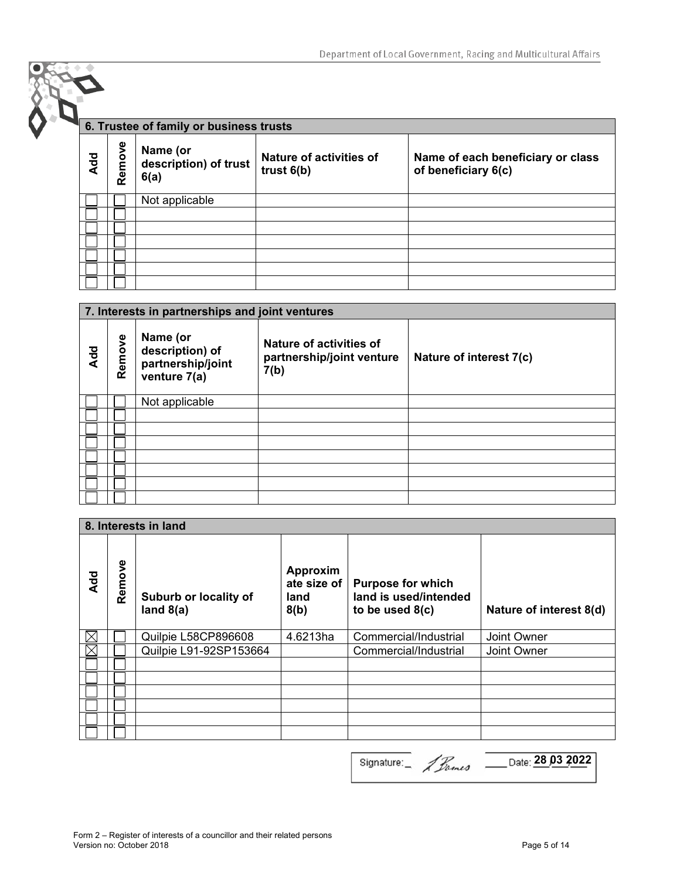|     |        | 6. Trustee of family or business trusts   |                                         |                                                          |  |  |
|-----|--------|-------------------------------------------|-----------------------------------------|----------------------------------------------------------|--|--|
| Add | Remove | Name (or<br>description) of trust<br>6(a) | Nature of activities of<br>trust $6(b)$ | Name of each beneficiary or class<br>of beneficiary 6(c) |  |  |
|     |        | Not applicable                            |                                         |                                                          |  |  |
|     |        |                                           |                                         |                                                          |  |  |
|     |        |                                           |                                         |                                                          |  |  |
|     |        |                                           |                                         |                                                          |  |  |
|     |        |                                           |                                         |                                                          |  |  |
|     |        |                                           |                                         |                                                          |  |  |
|     |        |                                           |                                         |                                                          |  |  |

|                 | 7. Interests in partnerships and joint ventures |                                                                  |                                                                     |                         |  |
|-----------------|-------------------------------------------------|------------------------------------------------------------------|---------------------------------------------------------------------|-------------------------|--|
| A <sub>dd</sub> | Remove                                          | Name (or<br>description) of<br>partnership/joint<br>venture 7(a) | <b>Nature of activities of</b><br>partnership/joint venture<br>7(b) | Nature of interest 7(c) |  |
|                 |                                                 | Not applicable                                                   |                                                                     |                         |  |
|                 |                                                 |                                                                  |                                                                     |                         |  |
|                 |                                                 |                                                                  |                                                                     |                         |  |
|                 |                                                 |                                                                  |                                                                     |                         |  |
|                 |                                                 |                                                                  |                                                                     |                         |  |
|                 |                                                 |                                                                  |                                                                     |                         |  |
|                 |                                                 |                                                                  |                                                                     |                         |  |
|                 |                                                 |                                                                  |                                                                     |                         |  |

|           | 8. Interests in land |                                      |                                         |                                                                        |                         |
|-----------|----------------------|--------------------------------------|-----------------------------------------|------------------------------------------------------------------------|-------------------------|
| <b>DR</b> | Remove               | Suburb or locality of<br>land $8(a)$ | Approxim<br>ate size of<br>land<br>8(b) | <b>Purpose for which</b><br>land is used/intended<br>to be used $8(c)$ | Nature of interest 8(d) |
| IX        |                      | Quilpie L58CP896608                  | 4.6213ha                                | Commercial/Industrial                                                  | Joint Owner             |
| IX        |                      | Quilpie L91-92SP153664               |                                         | Commercial/Industrial                                                  | Joint Owner             |
|           |                      |                                      |                                         |                                                                        |                         |
|           |                      |                                      |                                         |                                                                        |                         |
|           |                      |                                      |                                         |                                                                        |                         |
|           |                      |                                      |                                         |                                                                        |                         |
|           |                      |                                      |                                         |                                                                        |                         |
|           |                      |                                      |                                         |                                                                        |                         |

**28 03 2022** Signature: 4 Banes 28 03 2022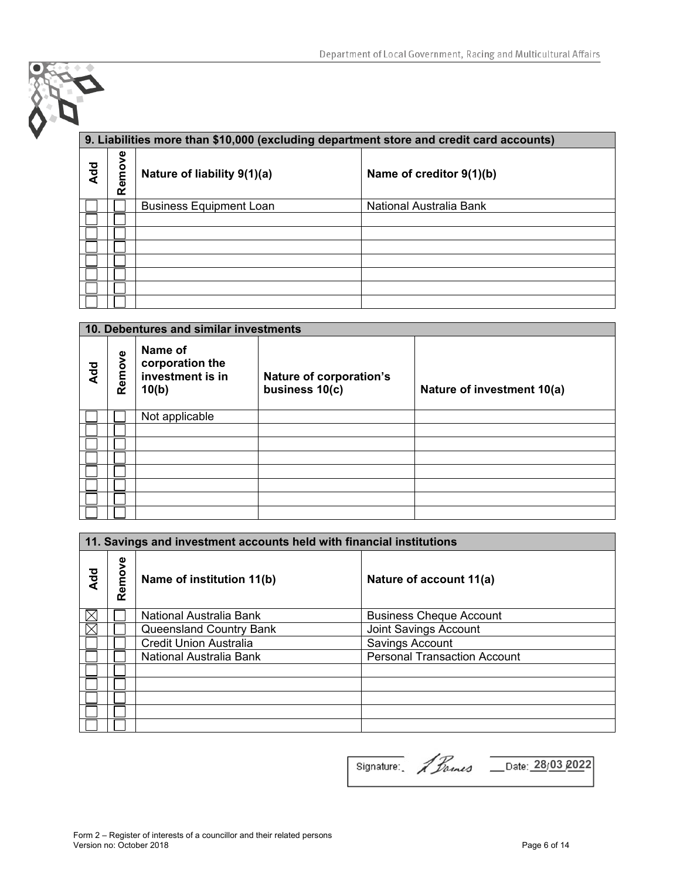## **9. Liabilities more than \$10,000 (excluding department store and credit card accounts)**

| <b>Add</b> | Remove | Nature of liability 9(1)(a)    | Name of creditor 9(1)(b) |
|------------|--------|--------------------------------|--------------------------|
|            |        | <b>Business Equipment Loan</b> | National Australia Bank  |
|            |        |                                |                          |
|            |        |                                |                          |
|            |        |                                |                          |
|            |        |                                |                          |
|            |        |                                |                          |
|            |        |                                |                          |
|            |        |                                |                          |

|     | 10. Debentures and similar investments |                                                         |                                           |                            |
|-----|----------------------------------------|---------------------------------------------------------|-------------------------------------------|----------------------------|
| Add | Remove                                 | Name of<br>corporation the<br>investment is in<br>10(b) | Nature of corporation's<br>business 10(c) | Nature of investment 10(a) |
|     |                                        | Not applicable                                          |                                           |                            |
|     |                                        |                                                         |                                           |                            |
|     |                                        |                                                         |                                           |                            |
|     |                                        |                                                         |                                           |                            |
|     |                                        |                                                         |                                           |                            |
|     |                                        |                                                         |                                           |                            |
|     |                                        |                                                         |                                           |                            |
|     |                                        |                                                         |                                           |                            |

|     | 11. Savings and investment accounts held with financial institutions |                               |                                     |  |
|-----|----------------------------------------------------------------------|-------------------------------|-------------------------------------|--|
| Add | Remove                                                               | Name of institution 11(b)     | Nature of account 11(a)             |  |
|     |                                                                      | National Australia Bank       | <b>Business Cheque Account</b>      |  |
|     |                                                                      | Queensland Country Bank       | Joint Savings Account               |  |
|     |                                                                      | <b>Credit Union Australia</b> | Savings Account                     |  |
|     |                                                                      | National Australia Bank       | <b>Personal Transaction Account</b> |  |
|     |                                                                      |                               |                                     |  |
|     |                                                                      |                               |                                     |  |
|     |                                                                      |                               |                                     |  |
|     |                                                                      |                               |                                     |  |
|     |                                                                      |                               |                                     |  |

Signature: *1 Barnes* Date: 28/03 2022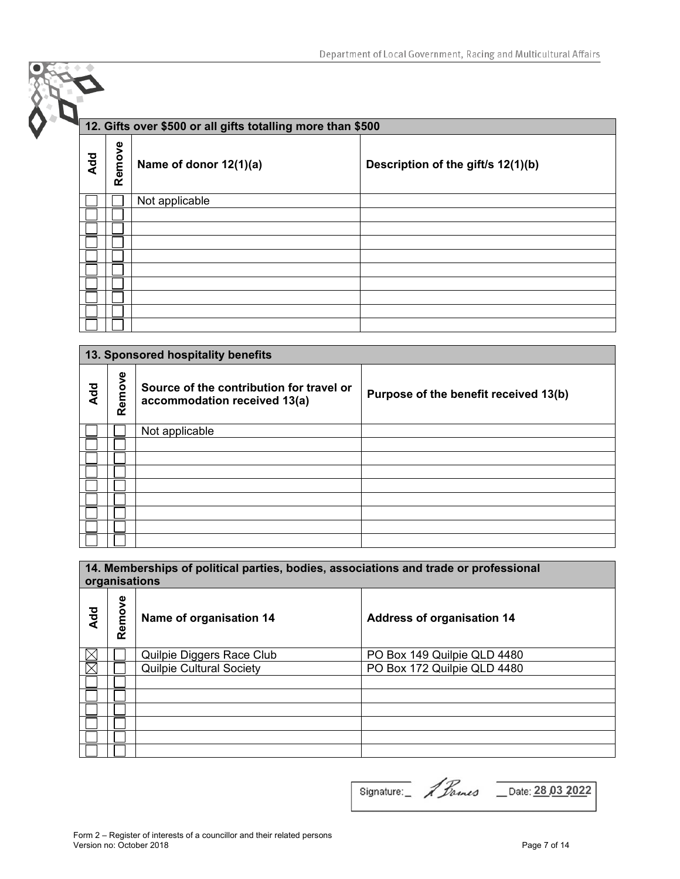## **12. Gifts over \$500 or all gifts totalling more than \$500**

| Add | Remove | Name of donor 12(1)(a) | Description of the gift/s 12(1)(b) |
|-----|--------|------------------------|------------------------------------|
|     |        | Not applicable         |                                    |
|     |        |                        |                                    |
|     |        |                        |                                    |
|     |        |                        |                                    |
|     |        |                        |                                    |
|     |        |                        |                                    |
|     |        |                        |                                    |
|     |        |                        |                                    |
|     |        |                        |                                    |
|     |        |                        |                                    |

|     | 13. Sponsored hospitality benefits |                                                                          |                                       |  |
|-----|------------------------------------|--------------------------------------------------------------------------|---------------------------------------|--|
| Add | Remove                             | Source of the contribution for travel or<br>accommodation received 13(a) | Purpose of the benefit received 13(b) |  |
|     |                                    | Not applicable                                                           |                                       |  |
|     |                                    |                                                                          |                                       |  |
|     |                                    |                                                                          |                                       |  |
|     |                                    |                                                                          |                                       |  |
|     |                                    |                                                                          |                                       |  |
|     |                                    |                                                                          |                                       |  |
|     |                                    |                                                                          |                                       |  |
|     |                                    |                                                                          |                                       |  |
|     |                                    |                                                                          |                                       |  |

#### **14. Memberships of political parties, bodies, associations and trade or professional organisations**

| <b>Add</b> | Remove | Name of organisation 14         | <b>Address of organisation 14</b> |
|------------|--------|---------------------------------|-----------------------------------|
| ⋉          |        | Quilpie Diggers Race Club       | PO Box 149 Quilpie QLD 4480       |
| IX         |        | <b>Quilpie Cultural Society</b> | PO Box 172 Quilpie QLD 4480       |
|            |        |                                 |                                   |
|            |        |                                 |                                   |
|            |        |                                 |                                   |
|            |        |                                 |                                   |
|            |        |                                 |                                   |
|            |        |                                 |                                   |

Signature: 1 Pames Date: 28.03 2022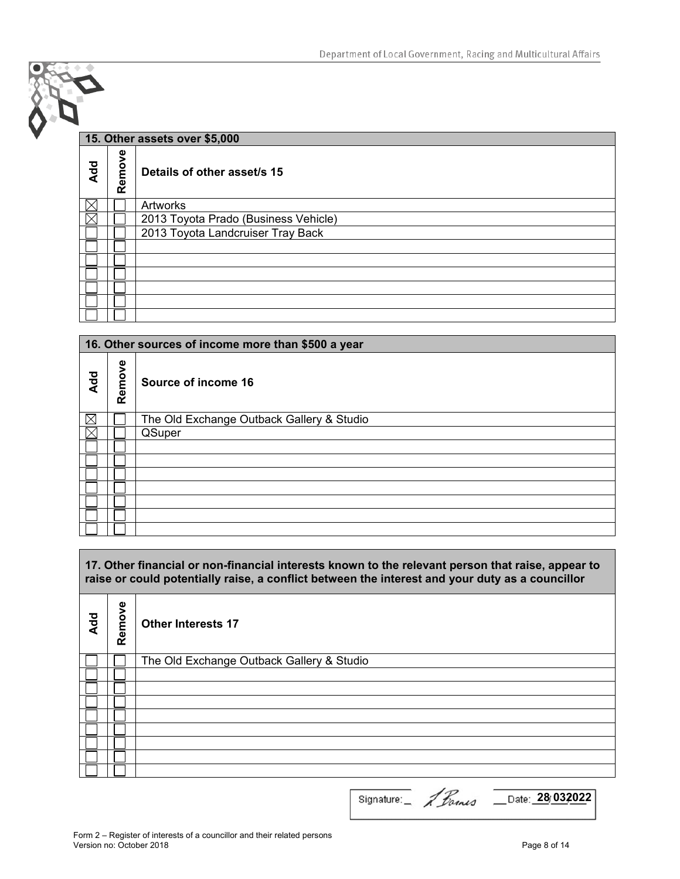|            | 15. Other assets over \$5,000 |                                      |  |  |
|------------|-------------------------------|--------------------------------------|--|--|
| <b>Add</b> | Remove                        | Details of other asset/s 15          |  |  |
| ΙX         |                               | Artworks                             |  |  |
| IΧ         |                               | 2013 Toyota Prado (Business Vehicle) |  |  |
|            |                               | 2013 Toyota Landcruiser Tray Back    |  |  |
|            |                               |                                      |  |  |
|            |                               |                                      |  |  |
|            |                               |                                      |  |  |
|            |                               |                                      |  |  |
|            |                               |                                      |  |  |
|            |                               |                                      |  |  |

|             | 16. Other sources of income more than \$500 a year |                                           |  |  |
|-------------|----------------------------------------------------|-------------------------------------------|--|--|
| Add         | Remove                                             | Source of income 16                       |  |  |
| $\boxtimes$ |                                                    | The Old Exchange Outback Gallery & Studio |  |  |
| X           |                                                    | QSuper                                    |  |  |
|             |                                                    |                                           |  |  |
|             |                                                    |                                           |  |  |
|             |                                                    |                                           |  |  |
|             |                                                    |                                           |  |  |
|             |                                                    |                                           |  |  |
|             |                                                    |                                           |  |  |
|             |                                                    |                                           |  |  |

**17. Other financial or non-financial interests known to the relevant person that raise, appear to raise or could potentially raise, a conflict between the interest and your duty as a councillor** 

| Add | Remove | <b>Other Interests 17</b>                 |
|-----|--------|-------------------------------------------|
|     |        | The Old Exchange Outback Gallery & Studio |
|     |        |                                           |
|     |        |                                           |
|     |        |                                           |
|     |        |                                           |
|     |        |                                           |
|     |        |                                           |
|     |        |                                           |
|     |        |                                           |

Signature: 1 Fames Date: 28 032022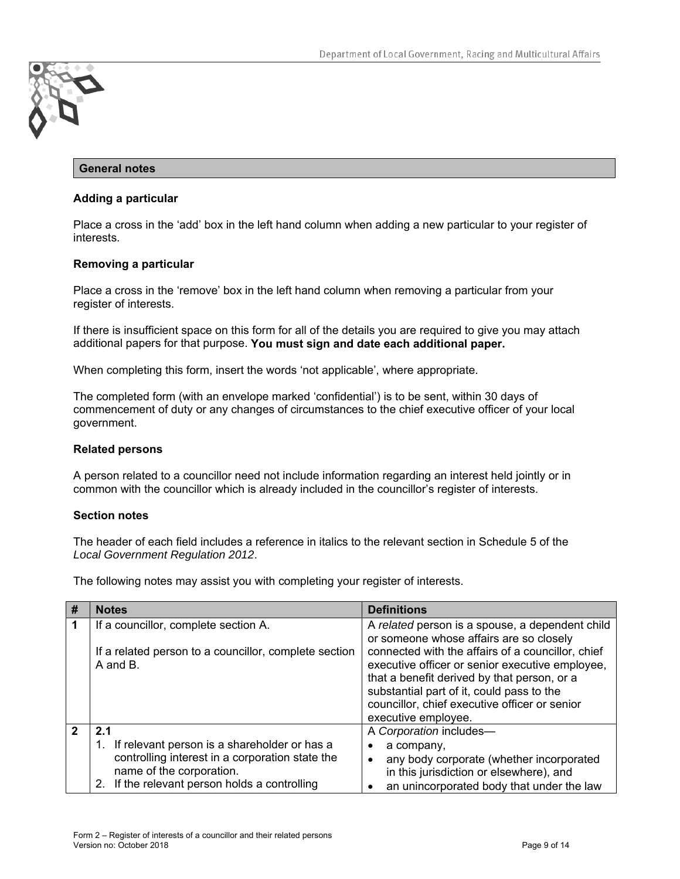

#### **General notes**

#### **Adding a particular**

Place a cross in the 'add' box in the left hand column when adding a new particular to your register of interests.

#### **Removing a particular**

Place a cross in the 'remove' box in the left hand column when removing a particular from your register of interests.

If there is insufficient space on this form for all of the details you are required to give you may attach additional papers for that purpose. **You must sign and date each additional paper.**

When completing this form, insert the words 'not applicable', where appropriate.

The completed form (with an envelope marked 'confidential') is to be sent, within 30 days of commencement of duty or any changes of circumstances to the chief executive officer of your local government.

#### **Related persons**

A person related to a councillor need not include information regarding an interest held jointly or in common with the councillor which is already included in the councillor's register of interests.

#### **Section notes**

The header of each field includes a reference in italics to the relevant section in Schedule 5 of the *Local Government Regulation 2012*.

The following notes may assist you with completing your register of interests.

| # | <b>Notes</b>                                                                                                                                                                           | <b>Definitions</b>                                                                                                                                                                                                                                                                                                                                                     |
|---|----------------------------------------------------------------------------------------------------------------------------------------------------------------------------------------|------------------------------------------------------------------------------------------------------------------------------------------------------------------------------------------------------------------------------------------------------------------------------------------------------------------------------------------------------------------------|
|   | If a councillor, complete section A.<br>If a related person to a councillor, complete section<br>A and B.                                                                              | A related person is a spouse, a dependent child<br>or someone whose affairs are so closely<br>connected with the affairs of a councillor, chief<br>executive officer or senior executive employee,<br>that a benefit derived by that person, or a<br>substantial part of it, could pass to the<br>councillor, chief executive officer or senior<br>executive employee. |
|   | 2.1<br>If relevant person is a shareholder or has a<br>controlling interest in a corporation state the<br>name of the corporation.<br>If the relevant person holds a controlling<br>2. | A Corporation includes-<br>a company,<br>any body corporate (whether incorporated<br>٠<br>in this jurisdiction or elsewhere), and<br>an unincorporated body that under the law                                                                                                                                                                                         |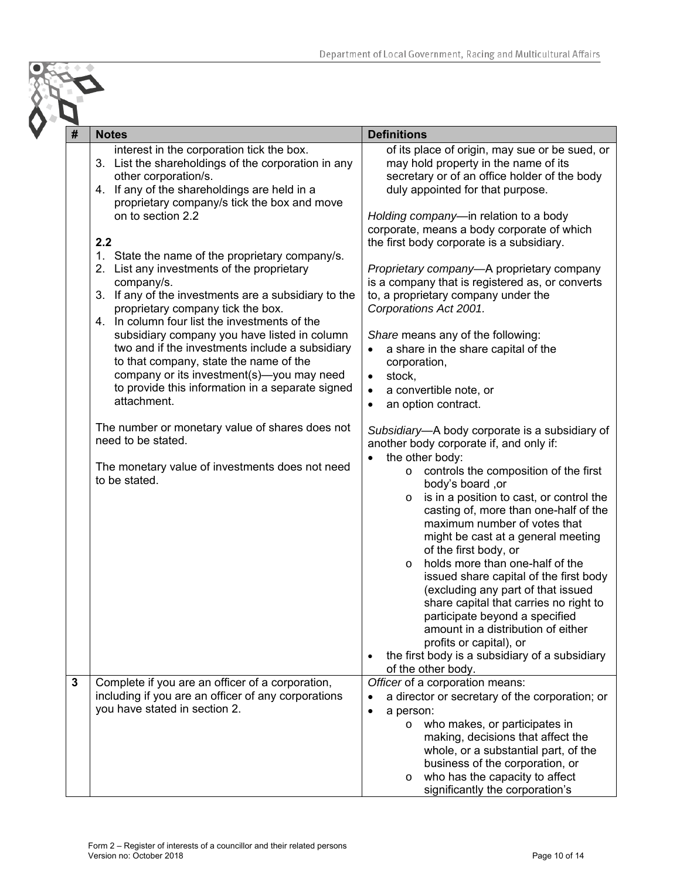| <b>Notes</b>                                                                                                                                                                                                                                                                                                                                                                                                                                                                                                                                                                                                                                                                                                                                                                                                                                                                                                               | <b>Definitions</b>                                                                                                                                                                                                                                                                                                                                                                                                                                                                                                                                                                                                                                                                                                                                                                                                                                                                                                                                                                                                                                                                                                                                                                                                                                                                                                                                                                                                      |
|----------------------------------------------------------------------------------------------------------------------------------------------------------------------------------------------------------------------------------------------------------------------------------------------------------------------------------------------------------------------------------------------------------------------------------------------------------------------------------------------------------------------------------------------------------------------------------------------------------------------------------------------------------------------------------------------------------------------------------------------------------------------------------------------------------------------------------------------------------------------------------------------------------------------------|-------------------------------------------------------------------------------------------------------------------------------------------------------------------------------------------------------------------------------------------------------------------------------------------------------------------------------------------------------------------------------------------------------------------------------------------------------------------------------------------------------------------------------------------------------------------------------------------------------------------------------------------------------------------------------------------------------------------------------------------------------------------------------------------------------------------------------------------------------------------------------------------------------------------------------------------------------------------------------------------------------------------------------------------------------------------------------------------------------------------------------------------------------------------------------------------------------------------------------------------------------------------------------------------------------------------------------------------------------------------------------------------------------------------------|
| interest in the corporation tick the box.<br>3. List the shareholdings of the corporation in any<br>other corporation/s.<br>4. If any of the shareholdings are held in a<br>proprietary company/s tick the box and move<br>on to section 2.2<br>2.2<br>1. State the name of the proprietary company/s.<br>2. List any investments of the proprietary<br>company/s.<br>3. If any of the investments are a subsidiary to the<br>proprietary company tick the box.<br>4. In column four list the investments of the<br>subsidiary company you have listed in column<br>two and if the investments include a subsidiary<br>to that company, state the name of the<br>company or its investment(s)-you may need<br>to provide this information in a separate signed<br>attachment.<br>The number or monetary value of shares does not<br>need to be stated.<br>The monetary value of investments does not need<br>to be stated. | of its place of origin, may sue or be sued, or<br>may hold property in the name of its<br>secretary or of an office holder of the body<br>duly appointed for that purpose.<br>Holding company-in relation to a body<br>corporate, means a body corporate of which<br>the first body corporate is a subsidiary.<br>Proprietary company-A proprietary company<br>is a company that is registered as, or converts<br>to, a proprietary company under the<br>Corporations Act 2001.<br>Share means any of the following:<br>a share in the share capital of the<br>corporation,<br>stock,<br>$\bullet$<br>a convertible note, or<br>$\bullet$<br>an option contract.<br>$\bullet$<br>Subsidiary-A body corporate is a subsidiary of<br>another body corporate if, and only if:<br>the other body:<br>controls the composition of the first<br>$\circ$<br>body's board, or<br>is in a position to cast, or control the<br>$\circ$<br>casting of, more than one-half of the<br>maximum number of votes that<br>might be cast at a general meeting<br>of the first body, or<br>holds more than one-half of the<br>$\circ$<br>issued share capital of the first body<br>(excluding any part of that issued<br>share capital that carries no right to<br>participate beyond a specified<br>amount in a distribution of either<br>profits or capital), or<br>the first body is a subsidiary of a subsidiary<br>of the other body. |
| Complete if you are an officer of a corporation,<br>including if you are an officer of any corporations<br>you have stated in section 2.                                                                                                                                                                                                                                                                                                                                                                                                                                                                                                                                                                                                                                                                                                                                                                                   | Officer of a corporation means:<br>a director or secretary of the corporation; or<br>a person:<br>who makes, or participates in<br>$\circ$<br>making, decisions that affect the<br>whole, or a substantial part, of the<br>business of the corporation, or<br>who has the capacity to affect<br>$\circ$                                                                                                                                                                                                                                                                                                                                                                                                                                                                                                                                                                                                                                                                                                                                                                                                                                                                                                                                                                                                                                                                                                                 |
|                                                                                                                                                                                                                                                                                                                                                                                                                                                                                                                                                                                                                                                                                                                                                                                                                                                                                                                            |                                                                                                                                                                                                                                                                                                                                                                                                                                                                                                                                                                                                                                                                                                                                                                                                                                                                                                                                                                                                                                                                                                                                                                                                                                                                                                                                                                                                                         |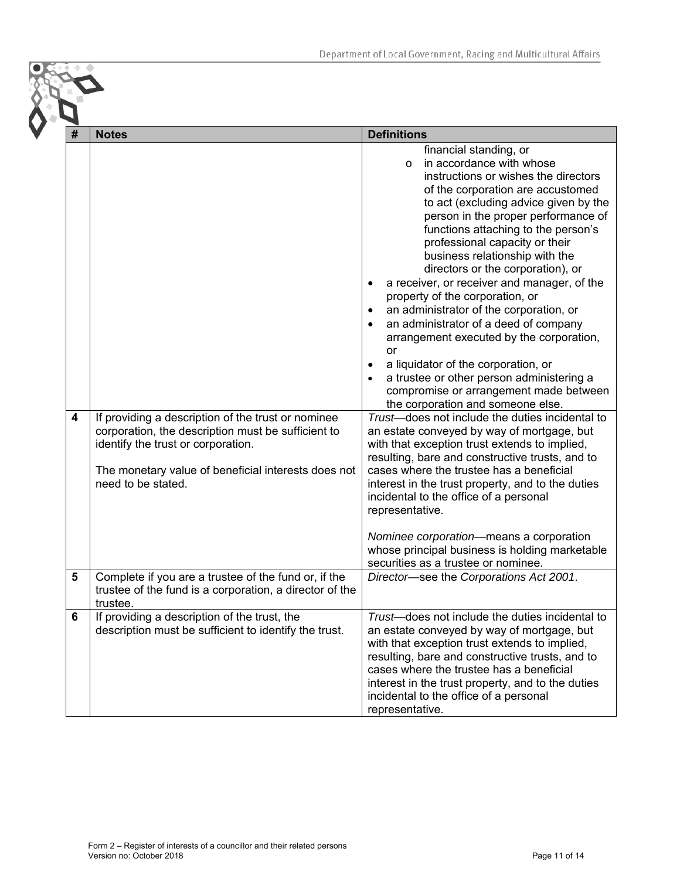| # | <b>Notes</b>                                                                                                                                                                                                                | <b>Definitions</b>                                                                                                                                                                                                                                                                                                                                                                                                                                                                                                                                                                                                                                                                                                                                                                                                                                                                                                                                                                                                                                                                                                                                                                                                                                                                      |
|---|-----------------------------------------------------------------------------------------------------------------------------------------------------------------------------------------------------------------------------|-----------------------------------------------------------------------------------------------------------------------------------------------------------------------------------------------------------------------------------------------------------------------------------------------------------------------------------------------------------------------------------------------------------------------------------------------------------------------------------------------------------------------------------------------------------------------------------------------------------------------------------------------------------------------------------------------------------------------------------------------------------------------------------------------------------------------------------------------------------------------------------------------------------------------------------------------------------------------------------------------------------------------------------------------------------------------------------------------------------------------------------------------------------------------------------------------------------------------------------------------------------------------------------------|
| 4 | If providing a description of the trust or nominee<br>corporation, the description must be sufficient to<br>identify the trust or corporation.<br>The monetary value of beneficial interests does not<br>need to be stated. | financial standing, or<br>in accordance with whose<br>$\Omega$<br>instructions or wishes the directors<br>of the corporation are accustomed<br>to act (excluding advice given by the<br>person in the proper performance of<br>functions attaching to the person's<br>professional capacity or their<br>business relationship with the<br>directors or the corporation), or<br>a receiver, or receiver and manager, of the<br>property of the corporation, or<br>an administrator of the corporation, or<br>٠<br>an administrator of a deed of company<br>arrangement executed by the corporation,<br>or<br>a liquidator of the corporation, or<br>٠<br>a trustee or other person administering a<br>compromise or arrangement made between<br>the corporation and someone else.<br>Trust-does not include the duties incidental to<br>an estate conveyed by way of mortgage, but<br>with that exception trust extends to implied,<br>resulting, bare and constructive trusts, and to<br>cases where the trustee has a beneficial<br>interest in the trust property, and to the duties<br>incidental to the office of a personal<br>representative.<br>Nominee corporation-means a corporation<br>whose principal business is holding marketable<br>securities as a trustee or nominee. |
| 5 | Complete if you are a trustee of the fund or, if the<br>trustee of the fund is a corporation, a director of the<br>trustee.                                                                                                 | Director-see the Corporations Act 2001.                                                                                                                                                                                                                                                                                                                                                                                                                                                                                                                                                                                                                                                                                                                                                                                                                                                                                                                                                                                                                                                                                                                                                                                                                                                 |
| 6 | If providing a description of the trust, the<br>description must be sufficient to identify the trust.                                                                                                                       | Trust-does not include the duties incidental to<br>an estate conveyed by way of mortgage, but<br>with that exception trust extends to implied,<br>resulting, bare and constructive trusts, and to<br>cases where the trustee has a beneficial<br>interest in the trust property, and to the duties<br>incidental to the office of a personal<br>representative.                                                                                                                                                                                                                                                                                                                                                                                                                                                                                                                                                                                                                                                                                                                                                                                                                                                                                                                         |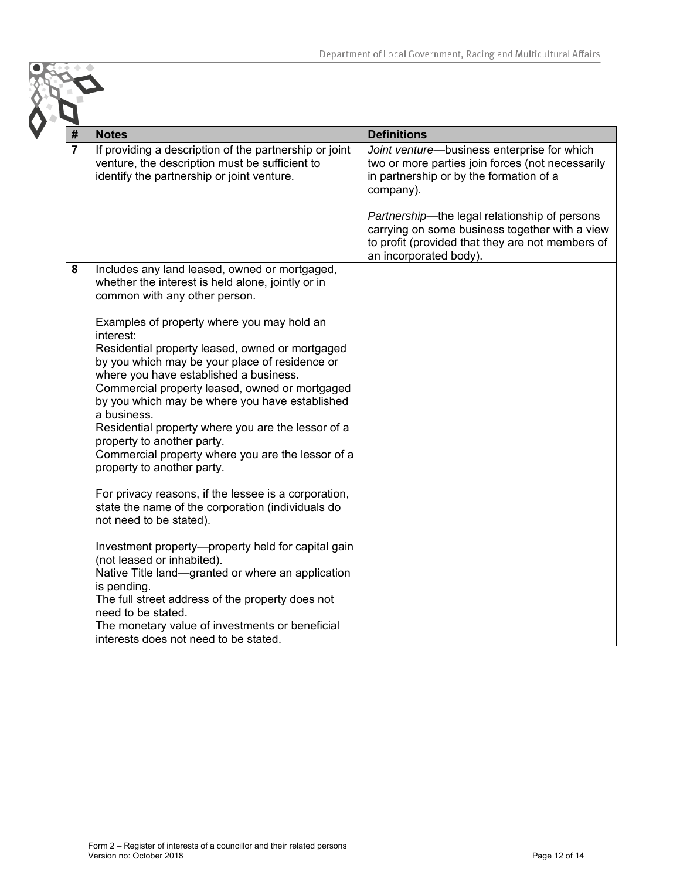| #              | <b>Notes</b>                                                                                                                                                                                                                                                                                                                                                                                                                                                                                                                                                                                                                                                                                                                                                                                                                                                                                                                                                                                                                                                                                                  | <b>Definitions</b>                                                                                                                                                                                                                                                                                                                       |
|----------------|---------------------------------------------------------------------------------------------------------------------------------------------------------------------------------------------------------------------------------------------------------------------------------------------------------------------------------------------------------------------------------------------------------------------------------------------------------------------------------------------------------------------------------------------------------------------------------------------------------------------------------------------------------------------------------------------------------------------------------------------------------------------------------------------------------------------------------------------------------------------------------------------------------------------------------------------------------------------------------------------------------------------------------------------------------------------------------------------------------------|------------------------------------------------------------------------------------------------------------------------------------------------------------------------------------------------------------------------------------------------------------------------------------------------------------------------------------------|
| $\overline{7}$ | If providing a description of the partnership or joint<br>venture, the description must be sufficient to<br>identify the partnership or joint venture.                                                                                                                                                                                                                                                                                                                                                                                                                                                                                                                                                                                                                                                                                                                                                                                                                                                                                                                                                        | Joint venture-business enterprise for which<br>two or more parties join forces (not necessarily<br>in partnership or by the formation of a<br>company).<br>Partnership-the legal relationship of persons<br>carrying on some business together with a view<br>to profit (provided that they are not members of<br>an incorporated body). |
| 8              | Includes any land leased, owned or mortgaged,<br>whether the interest is held alone, jointly or in<br>common with any other person.<br>Examples of property where you may hold an<br>interest:<br>Residential property leased, owned or mortgaged<br>by you which may be your place of residence or<br>where you have established a business.<br>Commercial property leased, owned or mortgaged<br>by you which may be where you have established<br>a business.<br>Residential property where you are the lessor of a<br>property to another party.<br>Commercial property where you are the lessor of a<br>property to another party.<br>For privacy reasons, if the lessee is a corporation,<br>state the name of the corporation (individuals do<br>not need to be stated).<br>Investment property—property held for capital gain<br>(not leased or inhabited).<br>Native Title land-granted or where an application<br>is pending.<br>The full street address of the property does not<br>need to be stated.<br>The monetary value of investments or beneficial<br>interests does not need to be stated. |                                                                                                                                                                                                                                                                                                                                          |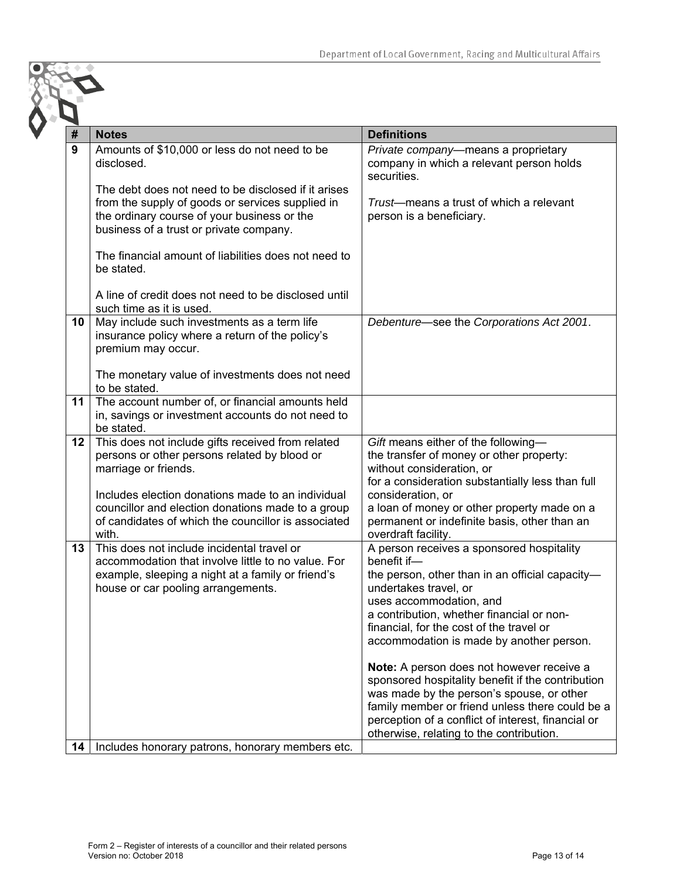| #  | <b>Notes</b>                                                                                                                                                                                                                        | <b>Definitions</b>                                                                                                                                                                                                                                                                                   |
|----|-------------------------------------------------------------------------------------------------------------------------------------------------------------------------------------------------------------------------------------|------------------------------------------------------------------------------------------------------------------------------------------------------------------------------------------------------------------------------------------------------------------------------------------------------|
| 9  | Amounts of \$10,000 or less do not need to be<br>disclosed.                                                                                                                                                                         | Private company—means a proprietary<br>company in which a relevant person holds<br>securities.                                                                                                                                                                                                       |
|    | The debt does not need to be disclosed if it arises<br>from the supply of goods or services supplied in<br>the ordinary course of your business or the<br>business of a trust or private company.                                   | Trust-means a trust of which a relevant<br>person is a beneficiary.                                                                                                                                                                                                                                  |
|    | The financial amount of liabilities does not need to<br>be stated.                                                                                                                                                                  |                                                                                                                                                                                                                                                                                                      |
|    | A line of credit does not need to be disclosed until<br>such time as it is used.                                                                                                                                                    |                                                                                                                                                                                                                                                                                                      |
| 10 | May include such investments as a term life<br>insurance policy where a return of the policy's<br>premium may occur.                                                                                                                | Debenture—see the Corporations Act 2001.                                                                                                                                                                                                                                                             |
|    | The monetary value of investments does not need<br>to be stated.                                                                                                                                                                    |                                                                                                                                                                                                                                                                                                      |
| 11 | The account number of, or financial amounts held<br>in, savings or investment accounts do not need to<br>be stated.                                                                                                                 |                                                                                                                                                                                                                                                                                                      |
| 12 | This does not include gifts received from related<br>persons or other persons related by blood or<br>marriage or friends.<br>Includes election donations made to an individual<br>councillor and election donations made to a group | Gift means either of the following-<br>the transfer of money or other property:<br>without consideration, or<br>for a consideration substantially less than full<br>consideration, or<br>a loan of money or other property made on a                                                                 |
|    | of candidates of which the councillor is associated<br>with.                                                                                                                                                                        | permanent or indefinite basis, other than an<br>overdraft facility.                                                                                                                                                                                                                                  |
| 13 | This does not include incidental travel or<br>accommodation that involve little to no value. For<br>example, sleeping a night at a family or friend's<br>house or car pooling arrangements.                                         | A person receives a sponsored hospitality<br>benefit if-<br>the person, other than in an official capacity-<br>undertakes travel, or<br>uses accommodation, and<br>a contribution, whether financial or non-<br>financial, for the cost of the travel or<br>accommodation is made by another person. |
|    |                                                                                                                                                                                                                                     | Note: A person does not however receive a<br>sponsored hospitality benefit if the contribution<br>was made by the person's spouse, or other<br>family member or friend unless there could be a<br>perception of a conflict of interest, financial or<br>otherwise, relating to the contribution.     |
| 14 | Includes honorary patrons, honorary members etc.                                                                                                                                                                                    |                                                                                                                                                                                                                                                                                                      |